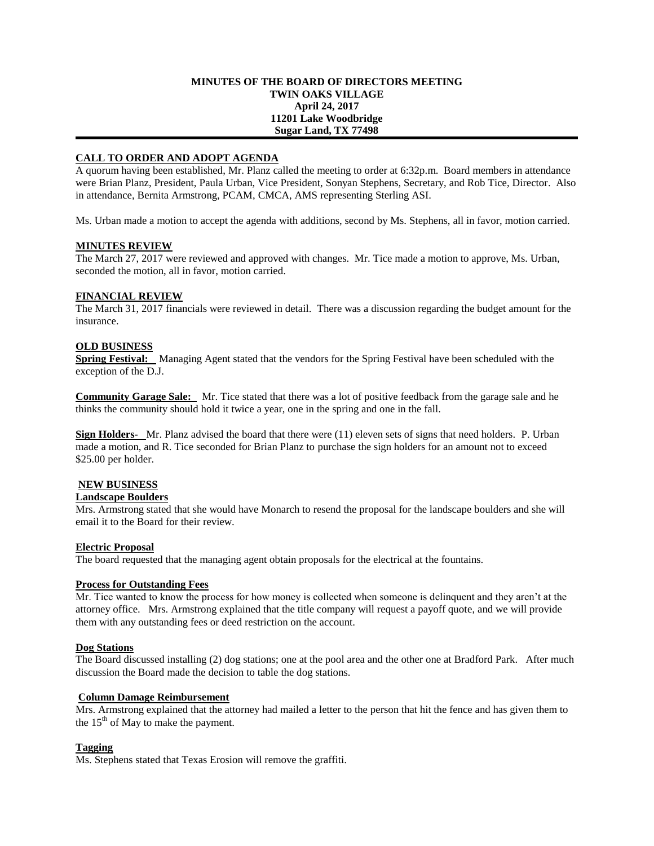#### **MINUTES OF THE BOARD OF DIRECTORS MEETING TWIN OAKS VILLAGE April 24, 2017 11201 Lake Woodbridge Sugar Land, TX 77498**

### **CALL TO ORDER AND ADOPT AGENDA**

A quorum having been established, Mr. Planz called the meeting to order at 6:32p.m. Board members in attendance were Brian Planz, President, Paula Urban, Vice President, Sonyan Stephens, Secretary, and Rob Tice, Director. Also in attendance, Bernita Armstrong, PCAM, CMCA, AMS representing Sterling ASI.

Ms. Urban made a motion to accept the agenda with additions, second by Ms. Stephens, all in favor, motion carried.

#### **MINUTES REVIEW**

The March 27, 2017 were reviewed and approved with changes. Mr. Tice made a motion to approve, Ms. Urban, seconded the motion, all in favor, motion carried.

#### **FINANCIAL REVIEW**

The March 31, 2017 financials were reviewed in detail. There was a discussion regarding the budget amount for the insurance.

#### **OLD BUSINESS**

**Spring Festival:** Managing Agent stated that the vendors for the Spring Festival have been scheduled with the exception of the D.J.

**Community Garage Sale:** Mr. Tice stated that there was a lot of positive feedback from the garage sale and he thinks the community should hold it twice a year, one in the spring and one in the fall.

**Sign Holders-** Mr. Planz advised the board that there were (11) eleven sets of signs that need holders. P. Urban made a motion, and R. Tice seconded for Brian Planz to purchase the sign holders for an amount not to exceed \$25.00 per holder.

# **NEW BUSINESS**

# **Landscape Boulders**

Mrs. Armstrong stated that she would have Monarch to resend the proposal for the landscape boulders and she will email it to the Board for their review.

# **Electric Proposal**

The board requested that the managing agent obtain proposals for the electrical at the fountains.

# **Process for Outstanding Fees**

Mr. Tice wanted to know the process for how money is collected when someone is delinquent and they aren't at the attorney office. Mrs. Armstrong explained that the title company will request a payoff quote, and we will provide them with any outstanding fees or deed restriction on the account.

#### **Dog Stations**

The Board discussed installing (2) dog stations; one at the pool area and the other one at Bradford Park. After much discussion the Board made the decision to table the dog stations.

#### **Column Damage Reimbursement**

Mrs. Armstrong explained that the attorney had mailed a letter to the person that hit the fence and has given them to the  $15<sup>th</sup>$  of May to make the payment.

# **Tagging**

Ms. Stephens stated that Texas Erosion will remove the graffiti.